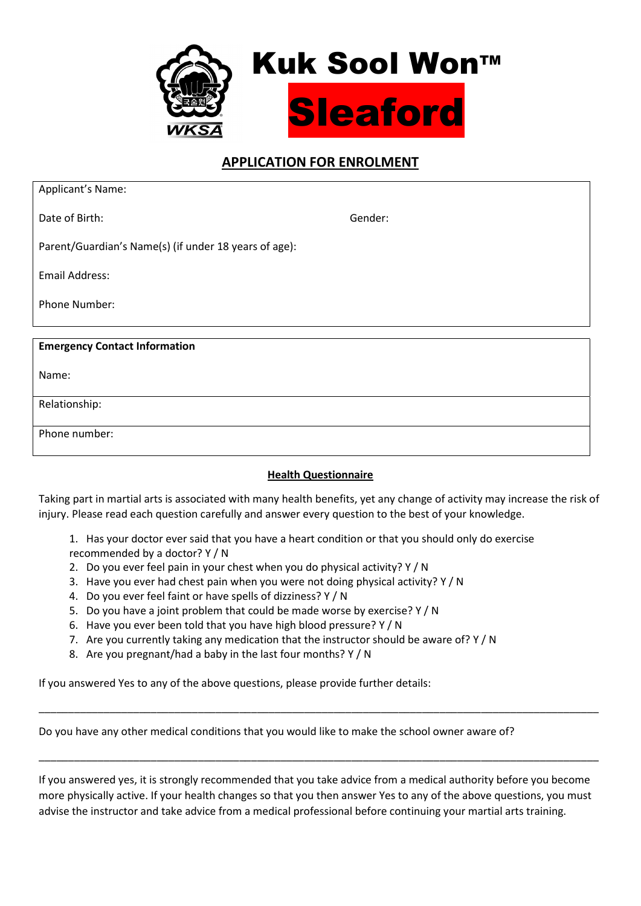

# APPLICATION FOR ENROLMENT

| Applicant's Name:                                     |         |  |
|-------------------------------------------------------|---------|--|
| Date of Birth:                                        | Gender: |  |
| Parent/Guardian's Name(s) (if under 18 years of age): |         |  |
| Email Address:                                        |         |  |
| Phone Number:                                         |         |  |
|                                                       |         |  |
| <b>Emergency Contact Information</b>                  |         |  |
| Name:                                                 |         |  |
| Relationship:                                         |         |  |
| Phone number:                                         |         |  |
|                                                       |         |  |

# **Health Questionnaire**

Taking part in martial arts is associated with many health benefits, yet any change of activity may increase the risk of injury. Please read each question carefully and answer every question to the best of your knowledge.

1. Has your doctor ever said that you have a heart condition or that you should only do exercise recommended by a doctor? Y / N

- 2. Do you ever feel pain in your chest when you do physical activity? Y / N
- 3. Have you ever had chest pain when you were not doing physical activity? Y / N
- 4. Do you ever feel faint or have spells of dizziness? Y / N
- 5. Do you have a joint problem that could be made worse by exercise? Y / N
- 6. Have you ever been told that you have high blood pressure? Y / N
- 7. Are you currently taking any medication that the instructor should be aware of?  $Y / N$
- 8. Are you pregnant/had a baby in the last four months? Y / N

If you answered Yes to any of the above questions, please provide further details:

Do you have any other medical conditions that you would like to make the school owner aware of?

If you answered yes, it is strongly recommended that you take advice from a medical authority before you become more physically active. If your health changes so that you then answer Yes to any of the above questions, you must advise the instructor and take advice from a medical professional before continuing your martial arts training.

\_\_\_\_\_\_\_\_\_\_\_\_\_\_\_\_\_\_\_\_\_\_\_\_\_\_\_\_\_\_\_\_\_\_\_\_\_\_\_\_\_\_\_\_\_\_\_\_\_\_\_\_\_\_\_\_\_\_\_\_\_\_\_\_\_\_\_\_\_\_\_\_\_\_\_\_\_\_\_\_\_\_\_\_\_\_\_\_\_\_\_\_\_\_\_

\_\_\_\_\_\_\_\_\_\_\_\_\_\_\_\_\_\_\_\_\_\_\_\_\_\_\_\_\_\_\_\_\_\_\_\_\_\_\_\_\_\_\_\_\_\_\_\_\_\_\_\_\_\_\_\_\_\_\_\_\_\_\_\_\_\_\_\_\_\_\_\_\_\_\_\_\_\_\_\_\_\_\_\_\_\_\_\_\_\_\_\_\_\_\_